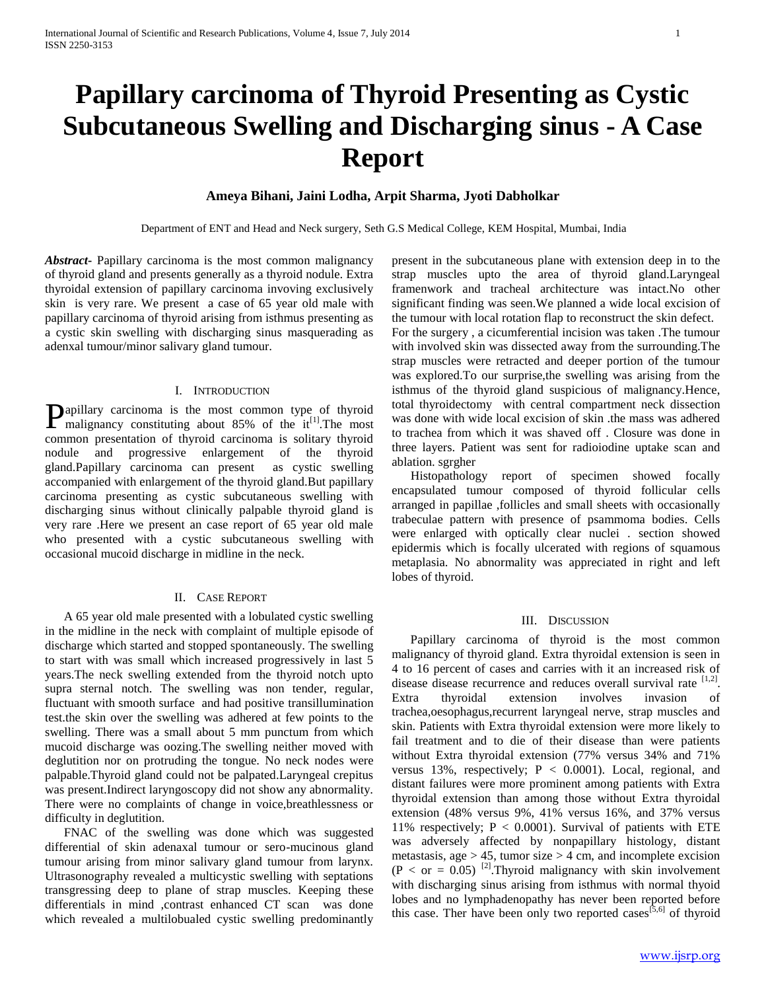# **Papillary carcinoma of Thyroid Presenting as Cystic Subcutaneous Swelling and Discharging sinus - A Case Report**

## **Ameya Bihani, Jaini Lodha, Arpit Sharma, Jyoti Dabholkar**

Department of ENT and Head and Neck surgery, Seth G.S Medical College, KEM Hospital, Mumbai, India

*Abstract***-** Papillary carcinoma is the most common malignancy of thyroid gland and presents generally as a thyroid nodule. Extra thyroidal extension of papillary carcinoma invoving exclusively skin is very rare. We present a case of 65 year old male with papillary carcinoma of thyroid arising from isthmus presenting as a cystic skin swelling with discharging sinus masquerading as adenxal tumour/minor salivary gland tumour.

## I. INTRODUCTION

apillary carcinoma is the most common type of thyroid **P**apillary carcinoma is the most common type of thyroid malignancy constituting about 85% of the it<sup>[1]</sup>. The most common presentation of thyroid carcinoma is solitary thyroid nodule and progressive enlargement of the thyroid gland.Papillary carcinoma can present as cystic swelling accompanied with enlargement of the thyroid gland.But papillary carcinoma presenting as cystic subcutaneous swelling with discharging sinus without clinically palpable thyroid gland is very rare .Here we present an case report of 65 year old male who presented with a cystic subcutaneous swelling with occasional mucoid discharge in midline in the neck.

### II. CASE REPORT

 A 65 year old male presented with a lobulated cystic swelling in the midline in the neck with complaint of multiple episode of discharge which started and stopped spontaneously. The swelling to start with was small which increased progressively in last 5 years.The neck swelling extended from the thyroid notch upto supra sternal notch. The swelling was non tender, regular, fluctuant with smooth surface and had positive transillumination test.the skin over the swelling was adhered at few points to the swelling. There was a small about 5 mm punctum from which mucoid discharge was oozing.The swelling neither moved with deglutition nor on protruding the tongue. No neck nodes were palpable.Thyroid gland could not be palpated.Laryngeal crepitus was present.Indirect laryngoscopy did not show any abnormality. There were no complaints of change in voice,breathlessness or difficulty in deglutition.

 FNAC of the swelling was done which was suggested differential of skin adenaxal tumour or sero-mucinous gland tumour arising from minor salivary gland tumour from larynx. Ultrasonography revealed a multicystic swelling with septations transgressing deep to plane of strap muscles. Keeping these differentials in mind ,contrast enhanced CT scan was done which revealed a multilobualed cystic swelling predominantly

present in the subcutaneous plane with extension deep in to the strap muscles upto the area of thyroid gland.Laryngeal framenwork and tracheal architecture was intact.No other significant finding was seen.We planned a wide local excision of the tumour with local rotation flap to reconstruct the skin defect. For the surgery , a cicumferential incision was taken .The tumour with involved skin was dissected away from the surrounding.The strap muscles were retracted and deeper portion of the tumour was explored.To our surprise,the swelling was arising from the isthmus of the thyroid gland suspicious of malignancy.Hence, total thyroidectomy with central compartment neck dissection was done with wide local excision of skin .the mass was adhered to trachea from which it was shaved off . Closure was done in three layers. Patient was sent for radioiodine uptake scan and ablation. sgrgher

 Histopathology report of specimen showed focally encapsulated tumour composed of thyroid follicular cells arranged in papillae ,follicles and small sheets with occasionally trabeculae pattern with presence of psammoma bodies. Cells were enlarged with optically clear nuclei . section showed epidermis which is focally ulcerated with regions of squamous metaplasia. No abnormality was appreciated in right and left lobes of thyroid.

#### III. DISCUSSION

 Papillary carcinoma of thyroid is the most common malignancy of thyroid gland. Extra thyroidal extension is seen in 4 to 16 percent of cases and carries with it an increased risk of disease disease recurrence and reduces overall survival rate [1,2]. Extra thyroidal extension involves invasion of trachea,oesophagus,recurrent laryngeal nerve, strap muscles and skin. Patients with Extra thyroidal extension were more likely to fail treatment and to die of their disease than were patients without Extra thyroidal extension (77% versus 34% and 71% versus 13%, respectively;  $P < 0.0001$ ). Local, regional, and distant failures were more prominent among patients with Extra thyroidal extension than among those without Extra thyroidal extension (48% versus 9%, 41% versus 16%, and 37% versus 11% respectively;  $P < 0.0001$ ). Survival of patients with ETE was adversely affected by nonpapillary histology, distant metastasis, age  $> 45$ , tumor size  $> 4$  cm, and incomplete excision  $(P < or = 0.05)$ <sup>[2]</sup>. Thyroid malignancy with skin involvement with discharging sinus arising from isthmus with normal thyoid lobes and no lymphadenopathy has never been reported before this case. Ther have been only two reported cases<sup>[5,6]</sup> of thyroid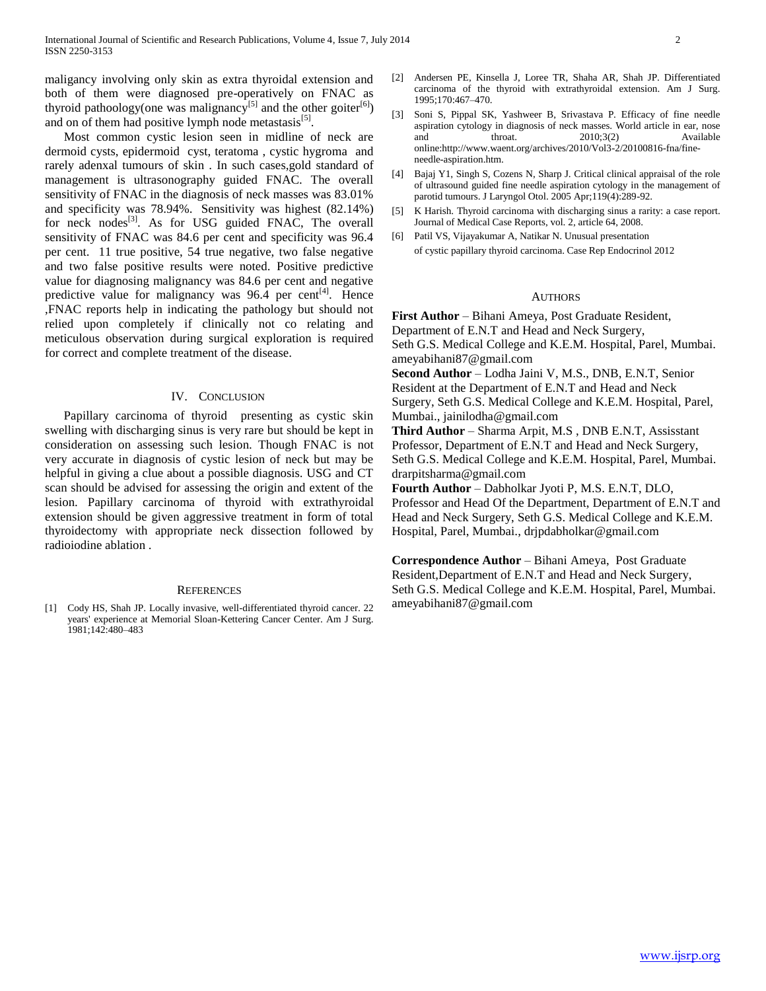maligancy involving only skin as extra thyroidal extension and both of them were diagnosed pre-operatively on FNAC as thyroid pathoology(one was malignancy<sup>[5]</sup> and the other goiter<sup>[6]</sup>) and on of them had positive lymph node metastasis<sup>[5]</sup>.

 Most common cystic lesion seen in midline of neck are dermoid cysts, epidermoid cyst, teratoma , cystic hygroma and rarely adenxal tumours of skin . In such cases,gold standard of management is ultrasonography guided FNAC. The overall sensitivity of FNAC in the diagnosis of neck masses was 83.01% and specificity was 78.94%. Sensitivity was highest (82.14%) for neck nodes<sup>[3]</sup>. As for USG guided FNAC, The overall sensitivity of FNAC was 84.6 per cent and specificity was 96.4 per cent. 11 true positive, 54 true negative, two false negative and two false positive results were noted. Positive predictive value for diagnosing malignancy was 84.6 per cent and negative predictive value for malignancy was  $96.\overline{4}$  per cent<sup>[4]</sup>. Hence ,FNAC reports help in indicating the pathology but should not relied upon completely if clinically not co relating and meticulous observation during surgical exploration is required for correct and complete treatment of the disease.

#### IV. CONCLUSION

 Papillary carcinoma of thyroid presenting as cystic skin swelling with discharging sinus is very rare but should be kept in consideration on assessing such lesion. Though FNAC is not very accurate in diagnosis of cystic lesion of neck but may be helpful in giving a clue about a possible diagnosis. USG and CT scan should be advised for assessing the origin and extent of the lesion. Papillary carcinoma of thyroid with extrathyroidal extension should be given aggressive treatment in form of total thyroidectomy with appropriate neck dissection followed by radioiodine ablation .

#### **REFERENCES**

[1] Cody HS, Shah JP. Locally invasive, well-differentiated thyroid cancer. 22 years' experience at Memorial Sloan-Kettering Cancer Center. Am J Surg. 1981;142:480–483

- [2] Andersen PE, Kinsella J, Loree TR, Shaha AR, Shah JP. Differentiated carcinoma of the thyroid with extrathyroidal extension. Am J Surg. 1995;170:467–470.
- [3] Soni S, Pippal SK, Yashweer B, Srivastava P. Efficacy of fine needle aspiration cytology in diagnosis of neck masses. World article in ear, nose and throat. 2010;3(2) Available online:http://www.waent.org/archives/2010/Vol3-2/20100816-fna/fineneedle-aspiration.htm.
- [4] Bajaj Y1, Singh S, Cozens N, Sharp J. Critical clinical appraisal of the role of ultrasound guided fine needle aspiration cytology in the management of parotid tumours. J Laryngol Otol. 2005 Apr;119(4):289-92.
- [5] K Harish. Thyroid carcinoma with discharging sinus a rarity: a case report. Journal of Medical Case Reports, vol. 2, article 64, 2008.
- [6] Patil VS, Vijayakumar A, Natikar N. Unusual presentation of cystic papillary thyroid carcinoma. Case Rep Endocrinol 2012

### **AUTHORS**

**First Author** – Bihani Ameya, Post Graduate Resident, Department of E.N.T and Head and Neck Surgery, Seth G.S. Medical College and K.E.M. Hospital, Parel, Mumbai. ameyabihani87@gmail.com

**Second Author** – Lodha Jaini V, M.S., DNB, E.N.T, Senior Resident at the Department of E.N.T and Head and Neck Surgery, Seth G.S. Medical College and K.E.M. Hospital, Parel, Mumbai., jainilodha@gmail.com

**Third Author** – Sharma Arpit, M.S , DNB E.N.T, Assisstant Professor, Department of E.N.T and Head and Neck Surgery, Seth G.S. Medical College and K.E.M. Hospital, Parel, Mumbai. drarpitsharma@gmail.com

**Fourth Author** – Dabholkar Jyoti P, M.S. E.N.T, DLO, Professor and Head Of the Department, Department of E.N.T and Head and Neck Surgery, Seth G.S. Medical College and K.E.M. Hospital, Parel, Mumbai., drjpdabholkar@gmail.com

**Correspondence Author** – Bihani Ameya, Post Graduate Resident,Department of E.N.T and Head and Neck Surgery, Seth G.S. Medical College and K.E.M. Hospital, Parel, Mumbai. ameyabihani87@gmail.com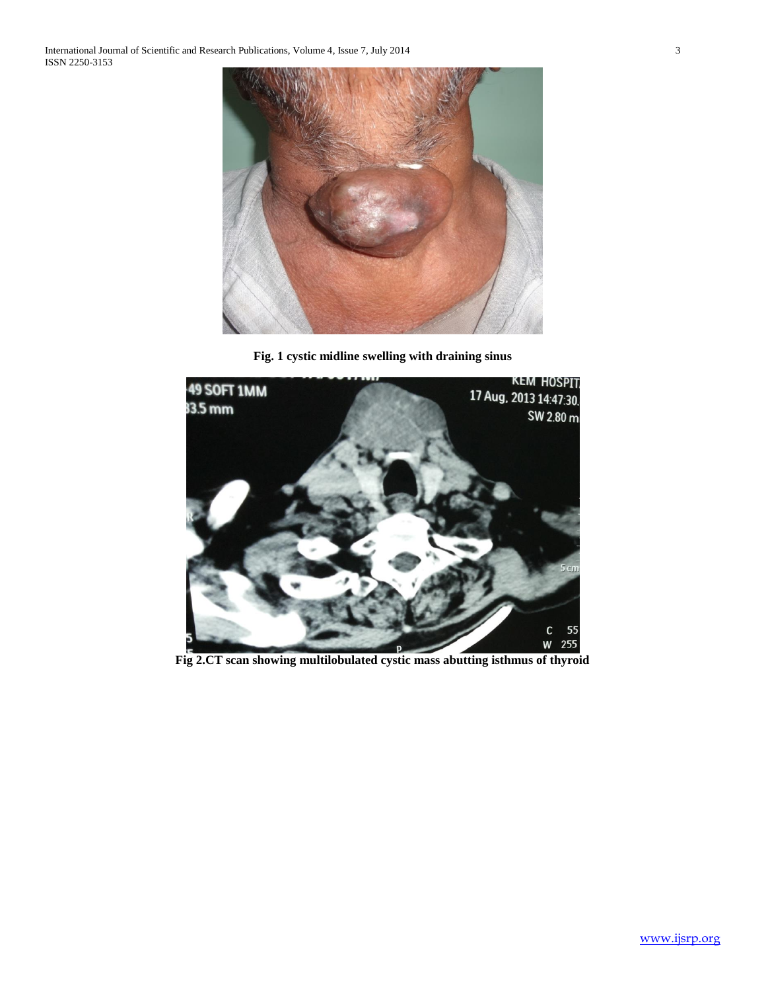

**Fig. 1 cystic midline swelling with draining sinus**



**Fig 2.CT scan showing multilobulated cystic mass abutting isthmus of thyroid**